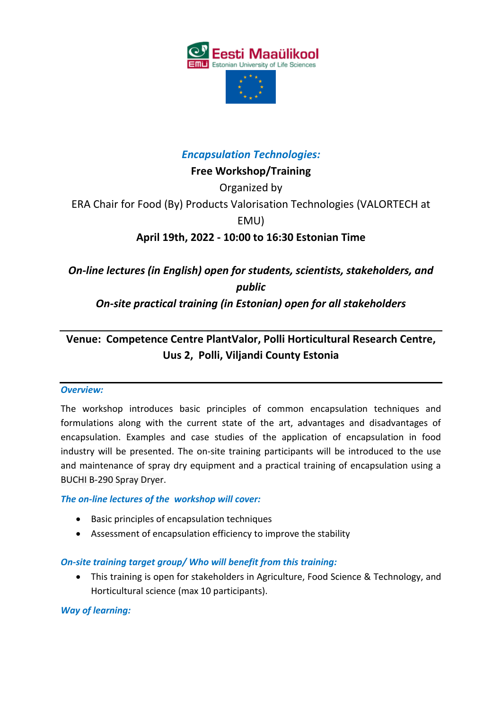

# *Encapsulation Technologies:*

**Free Workshop/Training**

Organized by

ERA Chair for Food (By) Products Valorisation Technologies (VALORTECH at

EMU)

**April 19th, 2022 - 10:00 to 16:30 Estonian Time** 

*On-line lectures (in English) open for students, scientists, stakeholders, and public*

*On-site practical training (in Estonian) open for all stakeholders*

# **Venue: Competence Centre PlantValor, Polli Horticultural Research Centre, Uus 2, Polli, Viljandi County Estonia**

#### *Overview:*

The workshop introduces basic principles of common encapsulation techniques and formulations along with the current state of the art, advantages and disadvantages of encapsulation. Examples and case studies of the application of encapsulation in food industry will be presented. The on-site training participants will be introduced to the use and maintenance of spray dry equipment and a practical training of encapsulation using a BUCHI B-290 Spray Dryer.

## *The on-line lectures of the workshop will cover:*

- Basic principles of encapsulation techniques
- Assessment of encapsulation efficiency to improve the stability

## *On-site training target group/ Who will benefit from this training:*

 This training is open for stakeholders in Agriculture, Food Science & Technology, and Horticultural science (max 10 participants).

#### *Way of learning:*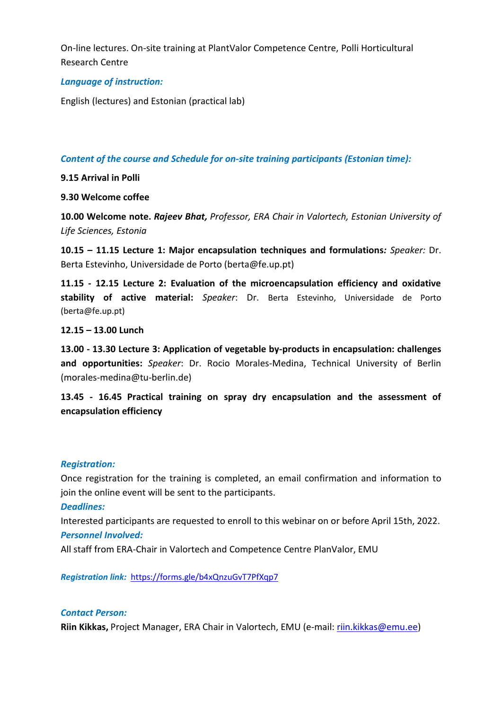On-line lectures. On-site training at PlantValor Competence Centre, Polli Horticultural Research Centre

#### *Language of instruction:*

English (lectures) and Estonian (practical lab)

*Content of the course and Schedule for on-site training participants (Estonian time):*

**9.15 Arrival in Polli**

#### **9.30 Welcome coffee**

**10.00 Welcome note.** *Rajeev Bhat, Professor, ERA Chair in Valortech, Estonian University of Life Sciences, Estonia*

**10.15 – 11.15 Lecture 1: Major encapsulation techniques and formulations***: Speaker:* Dr. Berta Estevinho, Universidade de Porto (berta@fe.up.pt)

**11.15 - 12.15 Lecture 2: Evaluation of the microencapsulation efficiency and oxidative stability of active material:** *Speaker*: Dr. Berta Estevinho, Universidade de Porto (berta@fe.up.pt)

#### **12.15 – 13.00 Lunch**

**13.00 - 13.30 Lecture 3: Application of vegetable by-products in encapsulation: challenges and opportunities:** *Speaker*: Dr. Rocio Morales-Medina, Technical University of Berlin (morales-medina@tu-berlin.de)

**13.45 - 16.45 Practical training on spray dry encapsulation and the assessment of encapsulation efficiency** 

#### *Registration:*

Once registration for the training is completed, an email confirmation and information to join the online event will be sent to the participants.

*Deadlines:*

Interested participants are requested to enroll to this webinar on or before April 15th, 2022. *Personnel Involved:* 

All staff from ERA-Chair in Valortech and Competence Centre PlanValor, EMU

*Registration link:* <https://forms.gle/b4xQnzuGvT7PfXqp7>

#### *Contact Person:*

**Riin Kikkas,** Project Manager, ERA Chair in Valortech, EMU (e-mail: [riin.kikkas@emu.ee\)](mailto:riin.kikkas@emu.ee)